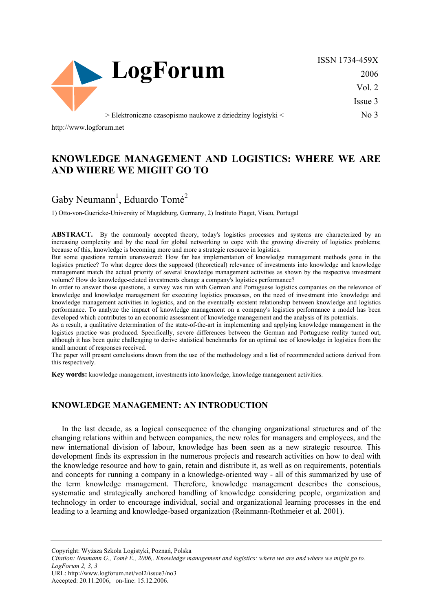

ISSN 1734-459X 2006 Vol. 2 Issue 3

No 3

> Elektroniczne czasopismo naukowe z dziedziny logistyki <

http://www.logforum.net

# **KNOWLEDGE MANAGEMENT AND LOGISTICS: WHERE WE ARE AND WHERE WE MIGHT GO TO**

# Gaby Neumann<sup>1</sup>, Eduardo Tomé<sup>2</sup>

1) Otto-von-Guericke-University of Magdeburg, Germany, 2) Instituto Piaget, Viseu, Portugal

ABSTRACT. By the commonly accepted theory, today's logistics processes and systems are characterized by an increasing complexity and by the need for global networking to cope with the growing diversity of logistics problems; because of this, knowledge is becoming more and more a strategic resource in logistics.

But some questions remain unanswered: How far has implementation of knowledge management methods gone in the logistics practice? To what degree does the supposed (theoretical) relevance of investments into knowledge and knowledge management match the actual priority of several knowledge management activities as shown by the respective investment volume? How do knowledge-related investments change a company's logistics performance?

In order to answer those questions, a survey was run with German and Portuguese logistics companies on the relevance of knowledge and knowledge management for executing logistics processes, on the need of investment into knowledge and knowledge management activities in logistics, and on the eventually existent relationship between knowledge and logistics performance. To analyze the impact of knowledge management on a company's logistics performance a model has been developed which contributes to an economic assessment of knowledge management and the analysis of its potentials.

As a result, a qualitative determination of the state-of-the-art in implementing and applying knowledge management in the logistics practice was produced. Specifically, severe differences between the German and Portuguese reality turned out, although it has been quite challenging to derive statistical benchmarks for an optimal use of knowledge in logistics from the small amount of responses received.

The paper will present conclusions drawn from the use of the methodology and a list of recommended actions derived from this respectively.

**Key words:** knowledge management, investments into knowledge, knowledge management activities.

### **KNOWLEDGE MANAGEMENT: AN INTRODUCTION**

In the last decade, as a logical consequence of the changing organizational structures and of the changing relations within and between companies, the new roles for managers and employees, and the new international division of labour, knowledge has been seen as a new strategic resource. This development finds its expression in the numerous projects and research activities on how to deal with the knowledge resource and how to gain, retain and distribute it, as well as on requirements, potentials and concepts for running a company in a knowledge-oriented way - all of this summarized by use of the term knowledge management. Therefore, knowledge management describes the conscious, systematic and strategically anchored handling of knowledge considering people, organization and technology in order to encourage individual, social and organizational learning processes in the end leading to a learning and knowledge-based organization (Reinmann-Rothmeier et al. 2001).

Copyright: Wyższa Szkoła Logistyki, Poznań, Polska

*Citation: Neumann G., Tomé E., 2006,. Knowledge management and logistics: where we are and where we might go to. LogForum 2, 3, 3* 

URL: http://www.logforum.net/vol2/issue3/no3

Accepted: 20.11.2006, on-line: 15.12.2006.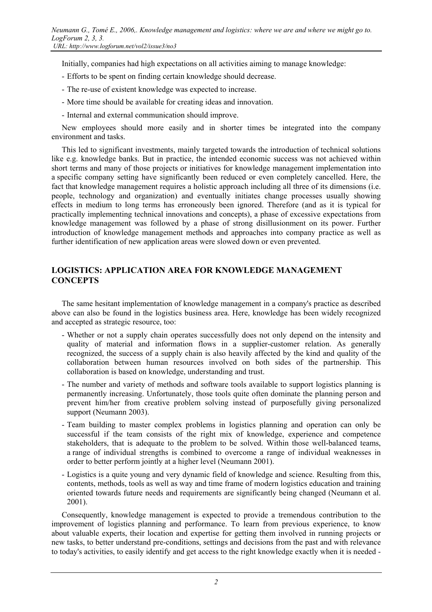Initially, companies had high expectations on all activities aiming to manage knowledge:

- Efforts to be spent on finding certain knowledge should decrease.
- The re-use of existent knowledge was expected to increase.
- More time should be available for creating ideas and innovation.
- Internal and external communication should improve.

New employees should more easily and in shorter times be integrated into the company environment and tasks.

This led to significant investments, mainly targeted towards the introduction of technical solutions like e.g. knowledge banks. But in practice, the intended economic success was not achieved within short terms and many of those projects or initiatives for knowledge management implementation into a specific company setting have significantly been reduced or even completely cancelled. Here, the fact that knowledge management requires a holistic approach including all three of its dimensions (i.e. people, technology and organization) and eventually initiates change processes usually showing effects in medium to long terms has erroneously been ignored. Therefore (and as it is typical for practically implementing technical innovations and concepts), a phase of excessive expectations from knowledge management was followed by a phase of strong disillusionment on its power. Further introduction of knowledge management methods and approaches into company practice as well as further identification of new application areas were slowed down or even prevented.

## **LOGISTICS: APPLICATION AREA FOR KNOWLEDGE MANAGEMENT CONCEPTS**

The same hesitant implementation of knowledge management in a company's practice as described above can also be found in the logistics business area. Here, knowledge has been widely recognized and accepted as strategic resource, too:

- Whether or not a supply chain operates successfully does not only depend on the intensity and quality of material and information flows in a supplier-customer relation. As generally recognized, the success of a supply chain is also heavily affected by the kind and quality of the collaboration between human resources involved on both sides of the partnership. This collaboration is based on knowledge, understanding and trust.
- The number and variety of methods and software tools available to support logistics planning is permanently increasing. Unfortunately, those tools quite often dominate the planning person and prevent him/her from creative problem solving instead of purposefully giving personalized support (Neumann 2003).
- Team building to master complex problems in logistics planning and operation can only be successful if the team consists of the right mix of knowledge, experience and competence stakeholders, that is adequate to the problem to be solved. Within those well-balanced teams, a range of individual strengths is combined to overcome a range of individual weaknesses in order to better perform jointly at a higher level (Neumann 2001).
- Logistics is a quite young and very dynamic field of knowledge and science. Resulting from this, contents, methods, tools as well as way and time frame of modern logistics education and training oriented towards future needs and requirements are significantly being changed (Neumann et al. 2001).

Consequently, knowledge management is expected to provide a tremendous contribution to the improvement of logistics planning and performance. To learn from previous experience, to know about valuable experts, their location and expertise for getting them involved in running projects or new tasks, to better understand pre-conditions, settings and decisions from the past and with relevance to today's activities, to easily identify and get access to the right knowledge exactly when it is needed -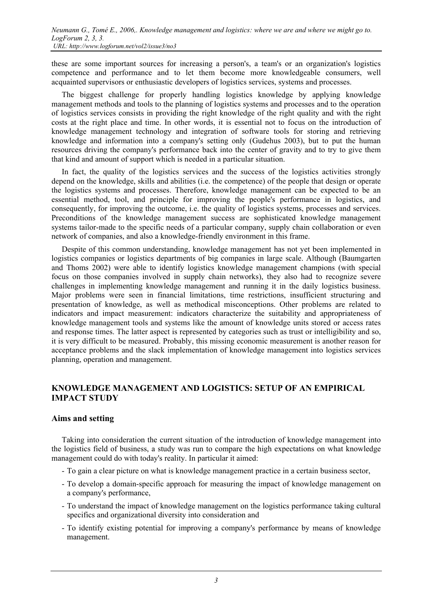these are some important sources for increasing a person's, a team's or an organization's logistics competence and performance and to let them become more knowledgeable consumers, well acquainted supervisors or enthusiastic developers of logistics services, systems and processes.

The biggest challenge for properly handling logistics knowledge by applying knowledge management methods and tools to the planning of logistics systems and processes and to the operation of logistics services consists in providing the right knowledge of the right quality and with the right costs at the right place and time. In other words, it is essential not to focus on the introduction of knowledge management technology and integration of software tools for storing and retrieving knowledge and information into a company's setting only (Gudehus 2003), but to put the human resources driving the company's performance back into the center of gravity and to try to give them that kind and amount of support which is needed in a particular situation.

In fact, the quality of the logistics services and the success of the logistics activities strongly depend on the knowledge, skills and abilities (i.e. the competence) of the people that design or operate the logistics systems and processes. Therefore, knowledge management can be expected to be an essential method, tool, and principle for improving the people's performance in logistics, and consequently, for improving the outcome, i.e. the quality of logistics systems, processes and services. Preconditions of the knowledge management success are sophisticated knowledge management systems tailor-made to the specific needs of a particular company, supply chain collaboration or even network of companies, and also a knowledge-friendly environment in this frame.

Despite of this common understanding, knowledge management has not yet been implemented in logistics companies or logistics departments of big companies in large scale. Although (Baumgarten and Thoms 2002) were able to identify logistics knowledge management champions (with special focus on those companies involved in supply chain networks), they also had to recognize severe challenges in implementing knowledge management and running it in the daily logistics business. Major problems were seen in financial limitations, time restrictions, insufficient structuring and presentation of knowledge, as well as methodical misconceptions. Other problems are related to indicators and impact measurement: indicators characterize the suitability and appropriateness of knowledge management tools and systems like the amount of knowledge units stored or access rates and response times. The latter aspect is represented by categories such as trust or intelligibility and so, it is very difficult to be measured. Probably, this missing economic measurement is another reason for acceptance problems and the slack implementation of knowledge management into logistics services planning, operation and management.

## **KNOWLEDGE MANAGEMENT AND LOGISTICS: SETUP OF AN EMPIRICAL IMPACT STUDY**

### **Aims and setting**

Taking into consideration the current situation of the introduction of knowledge management into the logistics field of business, a study was run to compare the high expectations on what knowledge management could do with today's reality. In particular it aimed:

- To gain a clear picture on what is knowledge management practice in a certain business sector,
- To develop a domain-specific approach for measuring the impact of knowledge management on a company's performance,
- To understand the impact of knowledge management on the logistics performance taking cultural specifics and organizational diversity into consideration and
- To identify existing potential for improving a company's performance by means of knowledge management.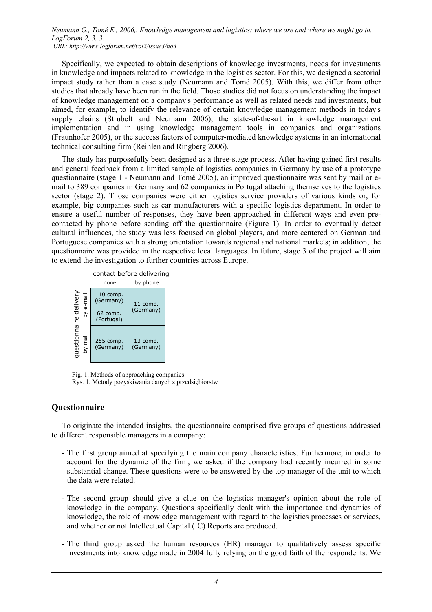Specifically, we expected to obtain descriptions of knowledge investments, needs for investments in knowledge and impacts related to knowledge in the logistics sector. For this, we designed a sectorial impact study rather than a case study (Neumann and Tomé 2005). With this, we differ from other studies that already have been run in the field. Those studies did not focus on understanding the impact of knowledge management on a company's performance as well as related needs and investments, but aimed, for example, to identify the relevance of certain knowledge management methods in today's supply chains (Strubelt and Neumann 2006), the state-of-the-art in knowledge management implementation and in using knowledge management tools in companies and organizations (Fraunhofer 2005), or the success factors of computer-mediated knowledge systems in an international technical consulting firm (Reihlen and Ringberg 2006).

The study has purposefully been designed as a three-stage process. After having gained first results and general feedback from a limited sample of logistics companies in Germany by use of a prototype questionnaire (stage 1 - Neumann and Tomé 2005), an improved questionnaire was sent by mail or email to 389 companies in Germany and 62 companies in Portugal attaching themselves to the logistics sector (stage 2). Those companies were either logistics service providers of various kinds or, for example, big companies such as car manufacturers with a specific logistics department. In order to ensure a useful number of responses, they have been approached in different ways and even precontacted by phone before sending off the questionnaire (Figure 1). In order to eventually detect cultural influences, the study was less focused on global players, and more centered on German and Portuguese companies with a strong orientation towards regional and national markets; in addition, the questionnaire was provided in the respective local languages. In future, stage 3 of the project will aim to extend the investigation to further countries across Europe.



Fig. 1. Methods of approaching companies Rys. 1. Metody pozyskiwania danych z przedsiębiorstw

## **Questionnaire**

To originate the intended insights, the questionnaire comprised five groups of questions addressed to different responsible managers in a company:

- The first group aimed at specifying the main company characteristics. Furthermore, in order to account for the dynamic of the firm, we asked if the company had recently incurred in some substantial change. These questions were to be answered by the top manager of the unit to which the data were related.
- The second group should give a clue on the logistics manager's opinion about the role of knowledge in the company. Questions specifically dealt with the importance and dynamics of knowledge, the role of knowledge management with regard to the logistics processes or services, and whether or not Intellectual Capital (IC) Reports are produced.
- The third group asked the human resources (HR) manager to qualitatively assess specific investments into knowledge made in 2004 fully relying on the good faith of the respondents. We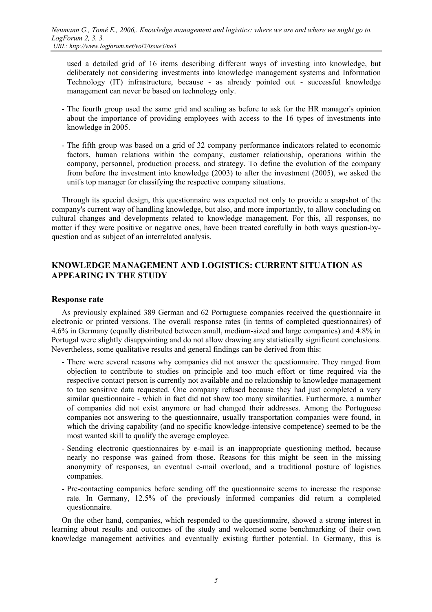used a detailed grid of 16 items describing different ways of investing into knowledge, but deliberately not considering investments into knowledge management systems and Information Technology (IT) infrastructure, because - as already pointed out - successful knowledge management can never be based on technology only.

- The fourth group used the same grid and scaling as before to ask for the HR manager's opinion about the importance of providing employees with access to the 16 types of investments into knowledge in 2005.
- The fifth group was based on a grid of 32 company performance indicators related to economic factors, human relations within the company, customer relationship, operations within the company, personnel, production process, and strategy. To define the evolution of the company from before the investment into knowledge (2003) to after the investment (2005), we asked the unit's top manager for classifying the respective company situations.

Through its special design, this questionnaire was expected not only to provide a snapshot of the company's current way of handling knowledge, but also, and more importantly, to allow concluding on cultural changes and developments related to knowledge management. For this, all responses, no matter if they were positive or negative ones, have been treated carefully in both ways question-byquestion and as subject of an interrelated analysis.

## **KNOWLEDGE MANAGEMENT AND LOGISTICS: CURRENT SITUATION AS APPEARING IN THE STUDY**

## **Response rate**

As previously explained 389 German and 62 Portuguese companies received the questionnaire in electronic or printed versions. The overall response rates (in terms of completed questionnaires) of 4.6% in Germany (equally distributed between small, medium-sized and large companies) and 4.8% in Portugal were slightly disappointing and do not allow drawing any statistically significant conclusions. Nevertheless, some qualitative results and general findings can be derived from this:

- There were several reasons why companies did not answer the questionnaire. They ranged from objection to contribute to studies on principle and too much effort or time required via the respective contact person is currently not available and no relationship to knowledge management to too sensitive data requested. One company refused because they had just completed a very similar questionnaire - which in fact did not show too many similarities. Furthermore, a number of companies did not exist anymore or had changed their addresses. Among the Portuguese companies not answering to the questionnaire, usually transportation companies were found, in which the driving capability (and no specific knowledge-intensive competence) seemed to be the most wanted skill to qualify the average employee.
- Sending electronic questionnaires by e-mail is an inappropriate questioning method, because nearly no response was gained from those. Reasons for this might be seen in the missing anonymity of responses, an eventual e-mail overload, and a traditional posture of logistics companies.
- Pre-contacting companies before sending off the questionnaire seems to increase the response rate. In Germany, 12.5% of the previously informed companies did return a completed questionnaire.

On the other hand, companies, which responded to the questionnaire, showed a strong interest in learning about results and outcomes of the study and welcomed some benchmarking of their own knowledge management activities and eventually existing further potential. In Germany, this is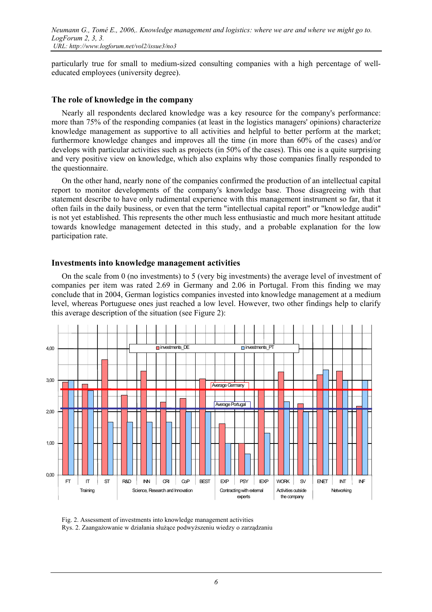particularly true for small to medium-sized consulting companies with a high percentage of welleducated employees (university degree).

#### **The role of knowledge in the company**

Nearly all respondents declared knowledge was a key resource for the company's performance: more than 75% of the responding companies (at least in the logistics managers' opinions) characterize knowledge management as supportive to all activities and helpful to better perform at the market; furthermore knowledge changes and improves all the time (in more than 60% of the cases) and/or develops with particular activities such as projects (in 50% of the cases). This one is a quite surprising and very positive view on knowledge, which also explains why those companies finally responded to the questionnaire.

On the other hand, nearly none of the companies confirmed the production of an intellectual capital report to monitor developments of the company's knowledge base. Those disagreeing with that statement describe to have only rudimental experience with this management instrument so far, that it often fails in the daily business, or even that the term "intellectual capital report" or "knowledge audit" is not yet established. This represents the other much less enthusiastic and much more hesitant attitude towards knowledge management detected in this study, and a probable explanation for the low participation rate.

#### **Investments into knowledge management activities**

On the scale from 0 (no investments) to 5 (very big investments) the average level of investment of companies per item was rated 2.69 in Germany and 2.06 in Portugal. From this finding we may conclude that in 2004, German logistics companies invested into knowledge management at a medium level, whereas Portuguese ones just reached a low level. However, two other findings help to clarify this average description of the situation (see Figure 2):



Fig. 2. Assessment of investments into knowledge management activities Rys. 2. Zaangażowanie w działania służące podwyższeniu wiedzy o zarządzaniu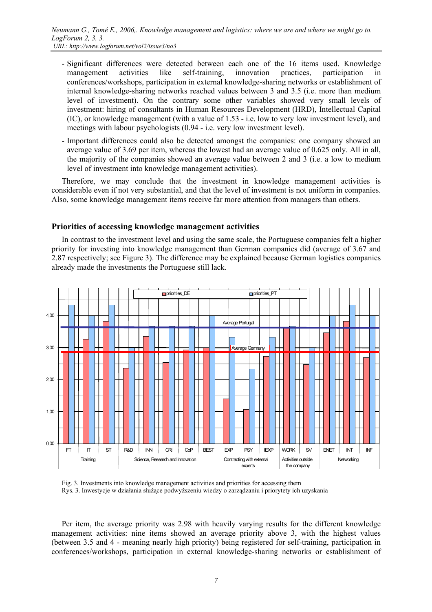- Significant differences were detected between each one of the 16 items used. Knowledge management activities like self-training, innovation practices, participation in conferences/workshops, participation in external knowledge-sharing networks or establishment of internal knowledge-sharing networks reached values between 3 and 3.5 (i.e. more than medium level of investment). On the contrary some other variables showed very small levels of investment: hiring of consultants in Human Resources Development (HRD), Intellectual Capital (IC), or knowledge management (with a value of 1.53 - i.e. low to very low investment level), and meetings with labour psychologists (0.94 - i.e. very low investment level).
- Important differences could also be detected amongst the companies: one company showed an average value of 3.69 per item, whereas the lowest had an average value of 0.625 only. All in all, the majority of the companies showed an average value between 2 and 3 (i.e. a low to medium level of investment into knowledge management activities).

Therefore, we may conclude that the investment in knowledge management activities is considerable even if not very substantial, and that the level of investment is not uniform in companies. Also, some knowledge management items receive far more attention from managers than others.

### **Priorities of accessing knowledge management activities**

In contrast to the investment level and using the same scale, the Portuguese companies felt a higher priority for investing into knowledge management than German companies did (average of 3.67 and 2.87 respectively; see Figure 3). The difference may be explained because German logistics companies already made the investments the Portuguese still lack.



Fig. 3. Investments into knowledge management activities and priorities for accessing them Rys. 3. Inwestycje w działania służące podwyższeniu wiedzy o zarządzaniu i priorytety ich uzyskania

Per item, the average priority was 2.98 with heavily varying results for the different knowledge management activities: nine items showed an average priority above 3, with the highest values (between 3.5 and 4 - meaning nearly high priority) being registered for self-training, participation in conferences/workshops, participation in external knowledge-sharing networks or establishment of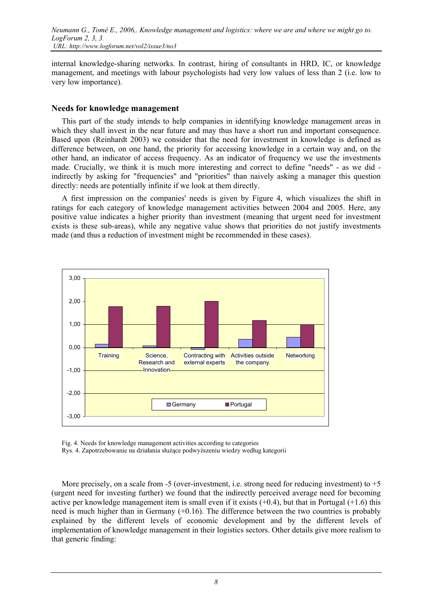internal knowledge-sharing networks. In contrast, hiring of consultants in HRD, IC, or knowledge management, and meetings with labour psychologists had very low values of less than 2 (i.e. low to very low importance).

#### **Needs for knowledge management**

This part of the study intends to help companies in identifying knowledge management areas in which they shall invest in the near future and may thus have a short run and important consequence. Based upon (Reinhardt 2003) we consider that the need for investment in knowledge is defined as difference between, on one hand, the priority for accessing knowledge in a certain way and, on the other hand, an indicator of access frequency. As an indicator of frequency we use the investments made. Crucially, we think it is much more interesting and correct to define "needs" - as we did indirectly by asking for "frequencies" and "priorities" than naively asking a manager this question directly: needs are potentially infinite if we look at them directly.

A first impression on the companies' needs is given by Figure 4, which visualizes the shift in ratings for each category of knowledge management activities between 2004 and 2005. Here, any positive value indicates a higher priority than investment (meaning that urgent need for investment exists is these sub-areas), while any negative value shows that priorities do not justify investments made (and thus a reduction of investment might be recommended in these cases).



Fig. 4. Needs for knowledge management activities according to categories Rys. 4. Zapotrzebowanie na działania służące podwyższeniu wiedzy według kategorii

More precisely, on a scale from -5 (over-investment, i.e. strong need for reducing investment) to  $+5$ (urgent need for investing further) we found that the indirectly perceived average need for becoming active per knowledge management item is small even if it exists  $(+0.4)$ , but that in Portugal  $(+1.6)$  this need is much higher than in Germany (+0.16). The difference between the two countries is probably explained by the different levels of economic development and by the different levels of implementation of knowledge management in their logistics sectors. Other details give more realism to that generic finding: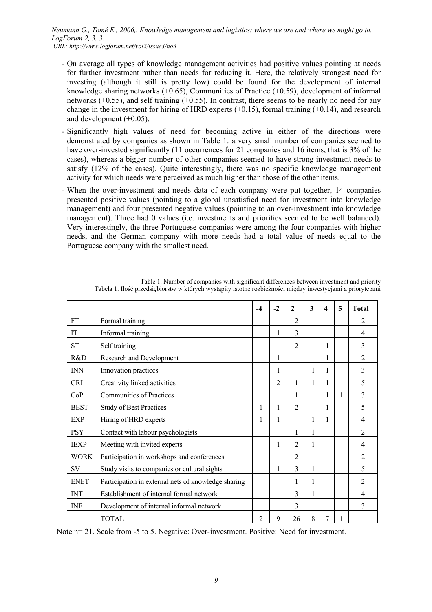- On average all types of knowledge management activities had positive values pointing at needs for further investment rather than needs for reducing it. Here, the relatively strongest need for investing (although it still is pretty low) could be found for the development of internal knowledge sharing networks (+0.65), Communities of Practice (+0.59), development of informal networks  $(+0.55)$ , and self training  $(+0.55)$ . In contrast, there seems to be nearly no need for any change in the investment for hiring of HRD experts  $(+0.15)$ , formal training  $(+0.14)$ , and research and development  $(+0.05)$ .
- Significantly high values of need for becoming active in either of the directions were demonstrated by companies as shown in Table 1: a very small number of companies seemed to have over-invested significantly (11 occurrences for 21 companies and 16 items, that is 3% of the cases), whereas a bigger number of other companies seemed to have strong investment needs to satisfy (12% of the cases). Quite interestingly, there was no specific knowledge management activity for which needs were perceived as much higher than those of the other items.
- When the over-investment and needs data of each company were put together, 14 companies presented positive values (pointing to a global unsatisfied need for investment into knowledge management) and four presented negative values (pointing to an over-investment into knowledge management). Three had 0 values (i.e. investments and priorities seemed to be well balanced). Very interestingly, the three Portuguese companies were among the four companies with higher needs, and the German company with more needs had a total value of needs equal to the Portuguese company with the smallest need.

|             |                                                     | $-4$           | $-2$           | $\mathbf{2}$   | 3            | $\overline{\mathbf{4}}$ | 5 | <b>Total</b>   |
|-------------|-----------------------------------------------------|----------------|----------------|----------------|--------------|-------------------------|---|----------------|
| <b>FT</b>   | Formal training                                     |                |                | $\overline{2}$ |              |                         |   | 2              |
| IT          | Informal training                                   |                |                | 3              |              |                         |   | 4              |
| <b>ST</b>   | Self training                                       |                |                | $\overline{2}$ |              | 1                       |   | 3              |
| R&D         | Research and Development                            |                | 1              |                |              | 1                       |   | $\overline{c}$ |
| <b>INN</b>  | Innovation practices                                |                |                |                | 1            | 1                       |   | 3              |
| <b>CRI</b>  | Creativity linked activities                        |                | $\overline{c}$ |                | 1            | 1                       |   | 5              |
| CoP         | <b>Communities of Practices</b>                     |                |                | 1              |              | 1                       | 1 | 3              |
| <b>BEST</b> | Study of Best Practices                             | 1              |                | $\overline{2}$ |              | 1                       |   | 5              |
| EXP         | Hiring of HRD experts                               | $\mathbf{1}$   |                |                | 1            | 1                       |   | 4              |
| <b>PSY</b>  | Contact with labour psychologists                   |                |                | 1              | $\mathbf{1}$ |                         |   | $\mathfrak{D}$ |
| <b>IEXP</b> | Meeting with invited experts                        |                | 1              | $\overline{2}$ | 1            |                         |   | 4              |
| <b>WORK</b> | Participation in workshops and conferences          |                |                | $\overline{2}$ |              |                         |   | $\overline{2}$ |
| SV          | Study visits to companies or cultural sights        |                |                | 3              | 1            |                         |   | 5              |
| <b>ENET</b> | Participation in external nets of knowledge sharing |                |                |                |              |                         |   | $\overline{2}$ |
| <b>INT</b>  | Establishment of internal formal network            |                |                | 3              | 1            |                         |   | 4              |
| <b>INF</b>  | Development of internal informal network            |                |                | 3              |              |                         |   | 3              |
|             | TOTAL                                               | $\overline{2}$ | 9              | 26             | 8            | 7                       | 1 |                |

Table 1. Number of companies with significant differences between investment and priority Tabela 1. Ilość przedsiębiorstw w których wystąpiły istotne rozbieżności między inwestycjami a priorytetami

Note n= 21. Scale from -5 to 5. Negative: Over-investment. Positive: Need for investment.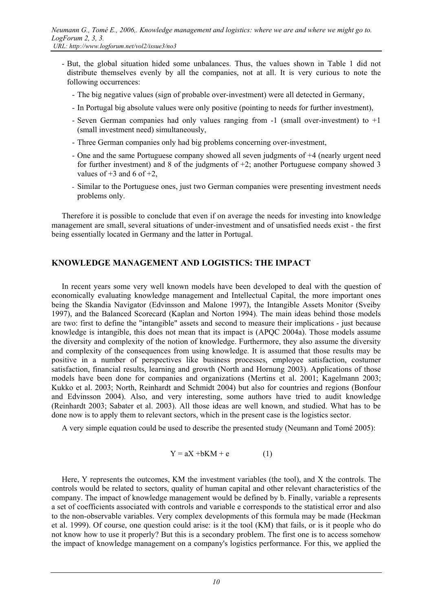- But, the global situation hided some unbalances. Thus, the values shown in Table 1 did not distribute themselves evenly by all the companies, not at all. It is very curious to note the following occurrences:
	- The big negative values (sign of probable over-investment) were all detected in Germany,
	- In Portugal big absolute values were only positive (pointing to needs for further investment),
	- Seven German companies had only values ranging from -1 (small over-investment) to +1 (small investment need) simultaneously,
	- Three German companies only had big problems concerning over-investment,
	- One and the same Portuguese company showed all seven judgments of +4 (nearly urgent need for further investment) and 8 of the judgments of  $+2$ ; another Portuguese company showed 3 values of  $+3$  and 6 of  $+2$ .
	- Similar to the Portuguese ones, just two German companies were presenting investment needs problems only.

Therefore it is possible to conclude that even if on average the needs for investing into knowledge management are small, several situations of under-investment and of unsatisfied needs exist - the first being essentially located in Germany and the latter in Portugal.

# **KNOWLEDGE MANAGEMENT AND LOGISTICS: THE IMPACT**

In recent years some very well known models have been developed to deal with the question of economically evaluating knowledge management and Intellectual Capital, the more important ones being the Skandia Navigator (Edvinsson and Malone 1997), the Intangible Assets Monitor (Sveiby 1997), and the Balanced Scorecard (Kaplan and Norton 1994). The main ideas behind those models are two: first to define the "intangible" assets and second to measure their implications - just because knowledge is intangible, this does not mean that its impact is (APQC 2004a). Those models assume the diversity and complexity of the notion of knowledge. Furthermore, they also assume the diversity and complexity of the consequences from using knowledge. It is assumed that those results may be positive in a number of perspectives like business processes, employee satisfaction, costumer satisfaction, financial results, learning and growth (North and Hornung 2003). Applications of those models have been done for companies and organizations (Mertins et al. 2001; Kagelmann 2003; Kukko et al. 2003; North, Reinhardt and Schmidt 2004) but also for countries and regions (Bonfour and Edvinsson 2004). Also, and very interesting, some authors have tried to audit knowledge (Reinhardt 2003; Sabater et al. 2003). All those ideas are well known, and studied. What has to be done now is to apply them to relevant sectors, which in the present case is the logistics sector.

A very simple equation could be used to describe the presented study (Neumann and Tomé 2005):

$$
Y = aX + bKM + e \tag{1}
$$

Here, Y represents the outcomes, KM the investment variables (the tool), and X the controls. The controls would be related to sectors, quality of human capital and other relevant characteristics of the company. The impact of knowledge management would be defined by b. Finally, variable a represents a set of coefficients associated with controls and variable e corresponds to the statistical error and also to the non-observable variables. Very complex developments of this formula may be made (Heckman et al. 1999). Of course, one question could arise: is it the tool (KM) that fails, or is it people who do not know how to use it properly? But this is a secondary problem. The first one is to access somehow the impact of knowledge management on a company's logistics performance. For this, we applied the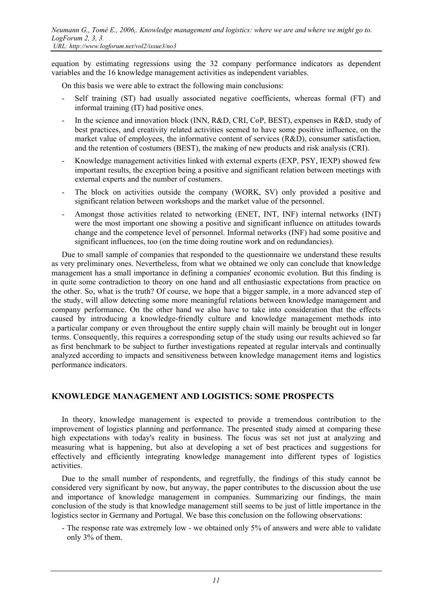equation by estimating regressions using the 32 company performance indicators as dependent variables and the 16 knowledge management activities as independent variables.

On this basis we were able to extract the following main conclusions:

- Self training (ST) had usually associated negative coefficients, whereas formal (FT) and informal training (IT) had positive ones.
- In the science and innovation block (INN, R&D, CRI, CoP, BEST), expenses in R&D, study of best practices, and creativity related activities seemed to have some positive influence, on the market value of employees, the informative content of services (R&D), consumer satisfaction, and the retention of costumers (BEST), the making of new products and risk analysis (CRI).
- Knowledge management activities linked with external experts (EXP, PSY, IEXP) showed few important results, the exception being a positive and significant relation between meetings with external experts and the number of costumers.
- The block on activities outside the company (WORK, SV) only provided a positive and significant relation between workshops and the market value of the personnel.
- Amongst those activities related to networking (ENET, INT, INF) internal networks (INT) were the most important one showing a positive and significant influence on attitudes towards change and the competence level of personnel. Informal networks (INF) had some positive and significant influences, too (on the time doing routine work and on redundancies).

Due to small sample of companies that responded to the questionnaire we understand these results as very preliminary ones. Nevertheless, from what we obtained we only can conclude that knowledge management has a small importance in defining a companies' economic evolution. But this finding is in quite some contradiction to theory on one hand and all enthusiastic expectations from practice on the other. So, what is the truth? Of course, we hope that a bigger sample, in a more advanced step of the study, will allow detecting some more meaningful relations between knowledge management and company performance. On the other hand we also have to take into consideration that the effects caused by introducing a knowledge-friendly culture and knowledge management methods into a particular company or even throughout the entire supply chain will mainly be brought out in longer terms. Consequently, this requires a corresponding setup of the study using our results achieved so far as first benchmark to be subject to further investigations repeated at regular intervals and continually analyzed according to impacts and sensitiveness between knowledge management items and logistics performance indicators.

### **KNOWLEDGE MANAGEMENT AND LOGISTICS: SOME PROSPECTS**

In theory, knowledge management is expected to provide a tremendous contribution to the improvement of logistics planning and performance. The presented study aimed at comparing these high expectations with today's reality in business. The focus was set not just at analyzing and measuring what is happening, but also at developing a set of best practices and suggestions for effectively and efficiently integrating knowledge management into different types of logistics activities.

Due to the small number of respondents, and regretfully, the findings of this study cannot be considered very significant by now, but anyway, the paper contributes to the discussion about the use and importance of knowledge management in companies. Summarizing our findings, the main conclusion of the study is that knowledge management still seems to be just of little importance in the logistics sector in Germany and Portugal. We base this conclusion on the following observations:

- The response rate was extremely low - we obtained only 5% of answers and were able to validate only 3% of them.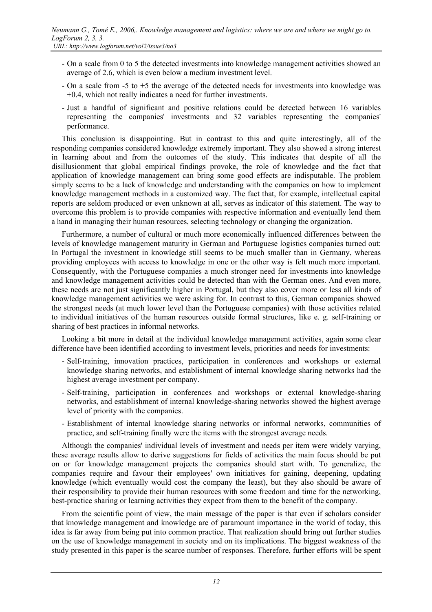- On a scale from 0 to 5 the detected investments into knowledge management activities showed an average of 2.6, which is even below a medium investment level.
- On a scale from -5 to +5 the average of the detected needs for investments into knowledge was +0.4, which not really indicates a need for further investments.
- Just a handful of significant and positive relations could be detected between 16 variables representing the companies' investments and 32 variables representing the companies' performance.

This conclusion is disappointing. But in contrast to this and quite interestingly, all of the responding companies considered knowledge extremely important. They also showed a strong interest in learning about and from the outcomes of the study. This indicates that despite of all the disillusionment that global empirical findings provoke, the role of knowledge and the fact that application of knowledge management can bring some good effects are indisputable. The problem simply seems to be a lack of knowledge and understanding with the companies on how to implement knowledge management methods in a customized way. The fact that, for example, intellectual capital reports are seldom produced or even unknown at all, serves as indicator of this statement. The way to overcome this problem is to provide companies with respective information and eventually lend them a hand in managing their human resources, selecting technology or changing the organization.

Furthermore, a number of cultural or much more economically influenced differences between the levels of knowledge management maturity in German and Portuguese logistics companies turned out: In Portugal the investment in knowledge still seems to be much smaller than in Germany, whereas providing employees with access to knowledge in one or the other way is felt much more important. Consequently, with the Portuguese companies a much stronger need for investments into knowledge and knowledge management activities could be detected than with the German ones. And even more, these needs are not just significantly higher in Portugal, but they also cover more or less all kinds of knowledge management activities we were asking for. In contrast to this, German companies showed the strongest needs (at much lower level than the Portuguese companies) with those activities related to individual initiatives of the human resources outside formal structures, like e. g. self-training or sharing of best practices in informal networks.

Looking a bit more in detail at the individual knowledge management activities, again some clear difference have been identified according to investment levels, priorities and needs for investments:

- Self-training, innovation practices, participation in conferences and workshops or external knowledge sharing networks, and establishment of internal knowledge sharing networks had the highest average investment per company.
- Self-training, participation in conferences and workshops or external knowledge-sharing networks, and establishment of internal knowledge-sharing networks showed the highest average level of priority with the companies.
- Establishment of internal knowledge sharing networks or informal networks, communities of practice, and self-training finally were the items with the strongest average needs.

Although the companies' individual levels of investment and needs per item were widely varying, these average results allow to derive suggestions for fields of activities the main focus should be put on or for knowledge management projects the companies should start with. To generalize, the companies require and favour their employees' own initiatives for gaining, deepening, updating knowledge (which eventually would cost the company the least), but they also should be aware of their responsibility to provide their human resources with some freedom and time for the networking, best-practice sharing or learning activities they expect from them to the benefit of the company.

From the scientific point of view, the main message of the paper is that even if scholars consider that knowledge management and knowledge are of paramount importance in the world of today, this idea is far away from being put into common practice. That realization should bring out further studies on the use of knowledge management in society and on its implications. The biggest weakness of the study presented in this paper is the scarce number of responses. Therefore, further efforts will be spent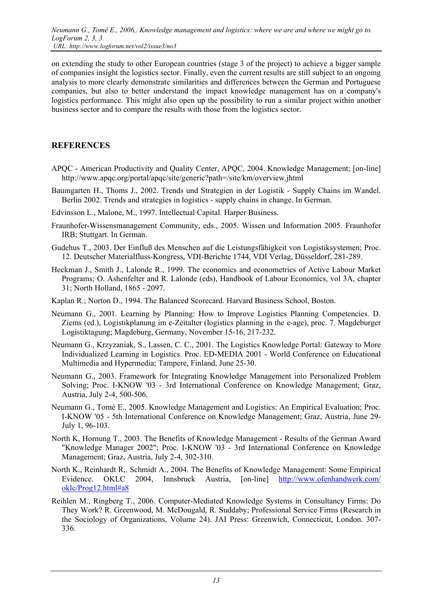on extending the study to other European countries (stage 3 of the project) to achieve a bigger sample of companies insight the logistics sector. Finally, even the current results are still subject to an ongoing analysis to more clearly demonstrate similarities and differences between the German and Portuguese companies, but also to better understand the impact knowledge management has on a company's logistics performance. This might also open up the possibility to run a similar project within another business sector and to compare the results with those from the logistics sector.

## **REFERENCES**

- APQC American Productivity and Quality Center, APQC, 2004. Knowledge Management; [on-line] http://www.apqc.org/portal/apqc/site/generic?path=/site/km/overview.jhtml
- Baumgarten H., Thoms J., 2002. Trends und Strategien in der Logistik Supply Chains im Wandel. Berlin 2002. Trends and strategies in logistics - supply chains in change. In German.
- Edvinsson L., Malone, M., 1997. Intellectual Capital. Harper Business.
- Fraunhofer-Wissensmanagement Community, eds., 2005. Wissen und Information 2005. Fraunhofer IRB; Stuttgart. In German.
- Gudehus T., 2003. Der Einfluß des Menschen auf die Leistungsfähigkeit von Logistiksystemen; Proc. 12. Deutscher Materialfluss-Kongress, VDI-Berichte 1744, VDI Verlag, Düsseldorf, 281-289.
- Heckman J., Smith J., Lalonde R., 1999. The economics and econometrics of Active Labour Market Programs; O. Ashenfelter and R. Lalonde (eds), Handbook of Labour Economics, vol 3A, chapter 31; North Holland, 1865 - 2097.
- Kaplan R.; Norton D., 1994. The Balanced Scorecard. Harvard Business School, Boston.
- Neumann G., 2001. Learning by Planning: How to Improve Logistics Planning Competencies. D. Ziems (ed.), Logistikplanung im e-Zeitalter (logistics planning in the e-age), proc. 7. Magdeburger Logistiktagung; Magdeburg, Germany, November 15-16, 217-232.
- Neumann G., Krzyzaniak, S., Lassen, C. C., 2001. The Logistics Knowledge Portal: Gateway to More Individualized Learning in Logistics. Proc. ED-MEDIA 2001 - World Conference on Educational Multimedia and Hypermedia; Tampere, Finland, June 25-30.
- Neumann G., 2003. Framework for Integrating Knowledge Management into Personalized Problem Solving; Proc. I-KNOW '03 - 3rd International Conference on Knowledge Management; Graz, Austria, July 2-4, 500-506.
- Neumann G., Tomé E., 2005. Knowledge Management and Logistics: An Empirical Evaluation; Proc. I-KNOW '05 - 5th International Conference on Knowledge Management; Graz, Austria, June 29- July 1, 96-103.
- North K, Hornung T., 2003. The Benefits of Knowledge Management Results of the German Award "Knowledge Manager 2002"; Proc. I-KNOW '03 - 3rd International Conference on Knowledge Management; Graz, Austria, July 2-4, 302-310.
- North K., Reinhardt R,. Schmidt A., 2004. The Benefits of Knowledge Management: Some Empirical Evidence. OKLC 2004, Innsbruck Austria, [on-line] [http://www.ofenhandwerk.com/](http://www.ofenhandwerk.com/ oklc/Prog12.html) [oklc/Prog12.html#a8](http://www.ofenhandwerk.com/ oklc/Prog12.html)
- Reihlen M., Ringberg T., 2006. Computer-Mediated Knowledge Systems in Consultancy Firms: Do They Work? R. Greenwood, M. McDougald, R. Suddaby; Professional Service Firms (Research in the Sociology of Organizations, Volume 24). JAI Press: Greenwich, Connecticut, London. 307- 336.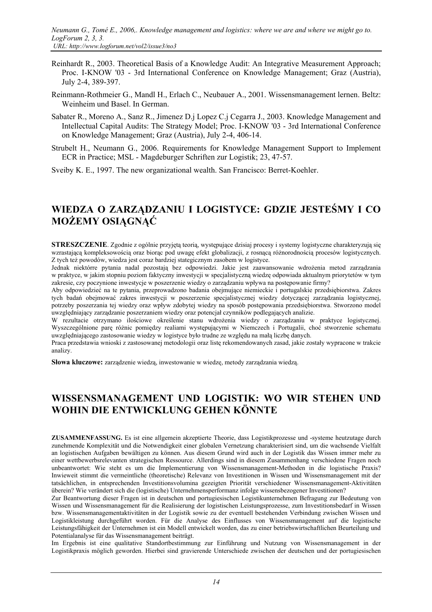- Reinhardt R., 2003. Theoretical Basis of a Knowledge Audit: An Integrative Measurement Approach; Proc. I-KNOW '03 - 3rd International Conference on Knowledge Management; Graz (Austria), July 2-4, 389-397.
- Reinmann-Rothmeier G., Mandl H., Erlach C., Neubauer A., 2001. Wissensmanagement lernen. Beltz: Weinheim und Basel. In German.
- Sabater R., Moreno A., Sanz R., Jimenez D.j Lopez C.j Cegarra J., 2003. Knowledge Management and Intellectual Capital Audits: The Strategy Model; Proc. I-KNOW '03 - 3rd International Conference on Knowledge Management; Graz (Austria), July 2-4, 406-14.
- Strubelt H., Neumann G., 2006. Requirements for Knowledge Management Support to Implement ECR in Practice; MSL - Magdeburger Schriften zur Logistik; 23, 47-57.

Sveiby K. E., 1997. The new organizational wealth. San Francisco: Berret-Koehler.

# **WIEDZA O ZARZĄDZANIU I LOGISTYCE: GDZIE JESTEŚMY I CO MOŻEMY OSIĄGNĄĆ**

**STRESZCZENIE**. Zgodnie z ogólnie przyjętą teorią, występujące dzisiaj procesy i systemy logistyczne charakteryzują się wzrastającą kompleksowością oraz biorąc pod uwagę efekt globalizacji, z rosnącą różnorodnością procesów logistycznych. Z tych też powodów, wiedza jest coraz bardziej stategicznym zasobem w logistyce.

Jednak niektórre pytania nadal pozostają bez odpowiedzi. Jakie jest zaawansowanie wdrożenia metod zarządzania w praktyce, w jakim stopniu poziom faktyczny inwestycji w specjalistyczną wiedzę odpowiada aktualnym priorytetów w tym zakresie, czy poczynione inwestycje w poszerzenie wiedzy o zarządzaniu wpływa na postępowanie firmy?

Aby odpowiedzieć na te pytania, przeprowadzono badania obejmujące niemieckie i portugalskie przedsiębiorstwa. Zakres tych badań obejmować zakres inwestycji w poszerzenie specjalistycznej wiedzy dotyczącej zarządzania logistycznej, potrzeby poszerzania tej wiedzy oraz wpływ zdobytej wiedzy na sposób postępowania przedsiębiorstwa. Stworzono model uwzględniający zarządzanie poszerzaniem wiedzy oraz potencjał czynników podlegających analizie.

W rezultacie otrzymano ilościowe określenie stanu wdrożenia wiedzy o zarządzaniu w praktyce logistycznej. Wyszczególnione parę różnic pomiędzy realiami występującymi w Niemczech i Portugalii, choć stworzenie schematu uwzględniającego zastosowanie wiedzy w logistyce było trudne ze względu na małą liczbę danych.

Praca przedstawia wnioski z zastosowanej metodologii oraz listę rekomendowanych zasad, jakie zostały wypracone w trakcie analizy.

**Słowa kluczowe:** zarządzenie wiedzą, inwestowanie w wiedzę, metody zarządzania wiedzą.

# **WISSENSMANAGEMENT UND LOGISTIK: WO WIR STEHEN UND WOHIN DIE ENTWICKLUNG GEHEN KÖNNTE**

**ZUSAMMENFASSUNG.** Es ist eine allgemein akzeptierte Theorie, dass Logistikprozesse und -systeme heutzutage durch zunehmende Komplexität und die Notwendigkeit einer globalen Vernetzung charakterisiert sind, um die wachsende Vielfalt an logistischen Aufgaben bewältigen zu können. Aus diesem Grund wird auch in der Logistik das Wissen immer mehr zu einer wettbewerbsrelevanten strategischen Ressource. Allerdings sind in diesem Zusammenhang verschiedene Fragen noch unbeantwortet: Wie steht es um die Implementierung von Wissensmanagement-Methoden in die logistische Praxis? Inwieweit stimmt die vermeintliche (theoretische) Relevanz von Investitionen in Wissen und Wissensmanagement mit der tatsächlichen, in entsprechenden Investitionsvolumina gezeigten Priorität verschiedener Wissensmanagement-Aktivitäten überein? Wie verändert sich die (logistische) Unternehmensperformanz infolge wissensbezogener Investitionen?

Zur Beantwortung dieser Fragen ist in deutschen und portugiesischen Logistikunternehmen Befragung zur Bedeutung von Wissen und Wissensmanagement für die Realisierung der logistischen Leistungsprozesse, zum Investitionsbedarf in Wissen bzw. Wissensmanagementaktivitäten in der Logistik sowie zu der eventuell bestehenden Verbindung zwischen Wissen und Logistikleistung durchgeführt worden. Für die Analyse des Einflusses von Wissensmanagement auf die logistische Leistungsfähigkeit der Unternehmen ist ein Modell entwickelt worden, das zu einer betriebswirtschaftlichen Beurteilung und Potentialanalyse für das Wissensmanagement beiträgt.

Im Ergebnis ist eine qualitative Standortbestimmung zur Einführung und Nutzung von Wissensmanagement in der Logistikpraxis möglich geworden. Hierbei sind gravierende Unterschiede zwischen der deutschen und der portugiesischen